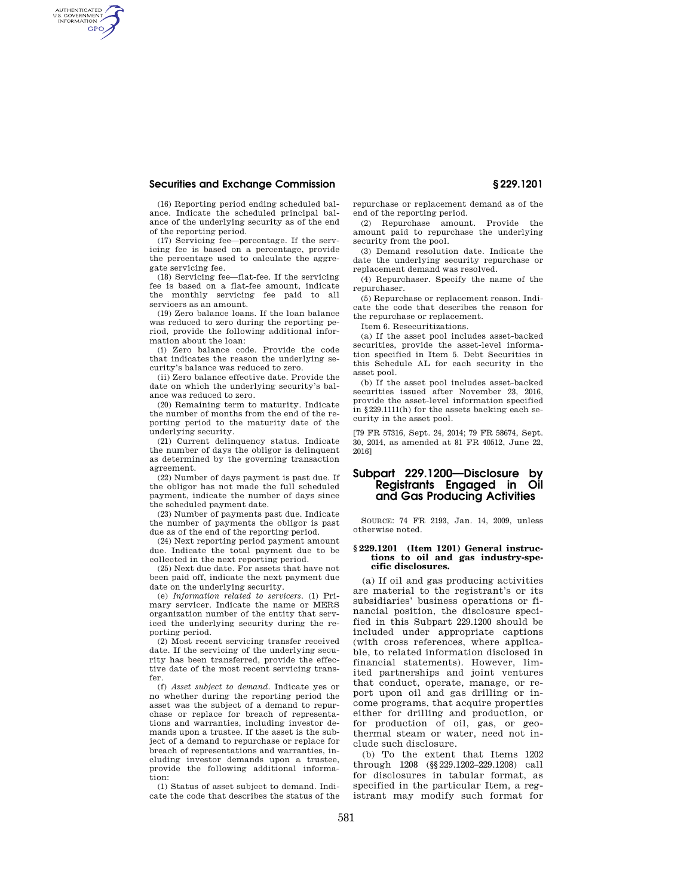## **Securities and Exchange Commission § 229.1201**

AUTHENTICATED<br>U.S. GOVERNMENT<br>INFORMATION **GPO** 

(16) Reporting period ending scheduled balance. Indicate the scheduled principal balance of the underlying security as of the end of the reporting period.

(17) Servicing fee—percentage. If the servicing fee is based on a percentage, provide the percentage used to calculate the aggregate servicing fee.

(18) Servicing fee—flat-fee. If the servicing fee is based on a flat-fee amount, indicate the monthly servicing fee paid to all servicers as an amount.

(19) Zero balance loans. If the loan balance was reduced to zero during the reporting period, provide the following additional information about the loan:

(i) Zero balance code. Provide the code that indicates the reason the underlying security's balance was reduced to zero.

(ii) Zero balance effective date. Provide the date on which the underlying security's balance was reduced to zero.

(20) Remaining term to maturity. Indicate the number of months from the end of the reporting period to the maturity date of the underlying security.

(21) Current delinquency status. Indicate the number of days the obligor is delinquent as determined by the governing transaction agreement.

(22) Number of days payment is past due. If the obligor has not made the full scheduled payment, indicate the number of days since the scheduled payment date.

(23) Number of payments past due. Indicate the number of payments the obligor is past due as of the end of the reporting period.

(24) Next reporting period payment amount due. Indicate the total payment due to be collected in the next reporting period.

(25) Next due date. For assets that have not been paid off, indicate the next payment due date on the underlying security.

(e) *Information related to servicers.* (1) Primary servicer. Indicate the name or MERS organization number of the entity that serviced the underlying security during the reporting period.

(2) Most recent servicing transfer received date. If the servicing of the underlying security has been transferred, provide the effective date of the most recent servicing transfer.

(f) *Asset subject to demand.* Indicate yes or no whether during the reporting period the asset was the subject of a demand to repurchase or replace for breach of representations and warranties, including investor demands upon a trustee. If the asset is the subject of a demand to repurchase or replace for breach of representations and warranties, including investor demands upon a trustee, provide the following additional information:

(1) Status of asset subject to demand. Indicate the code that describes the status of the repurchase or replacement demand as of the end of the reporting period.

(2) Repurchase amount. Provide the amount paid to repurchase the underlying security from the pool.

(3) Demand resolution date. Indicate the date the underlying security repurchase or replacement demand was resolved.

(4) Repurchaser. Specify the name of the repurchaser.

(5) Repurchase or replacement reason. Indicate the code that describes the reason for the repurchase or replacement.

Item 6. Resecuritizations.

(a) If the asset pool includes asset-backed securities, provide the asset-level information specified in Item 5. Debt Securities in this Schedule AL for each security in the asset pool.

(b) If the asset pool includes asset-backed securities issued after November 23, 2016, provide the asset-level information specified in §229.1111(h) for the assets backing each security in the asset pool.

[79 FR 57316, Sept. 24, 2014; 79 FR 58674, Sept. 30, 2014, as amended at 81 FR 40512, June 22, 2016]

## **Subpart 229.1200—Disclosure by Registrants Engaged in and Gas Producing Activities**

SOURCE: 74 FR 2193, Jan. 14, 2009, unless otherwise noted.

## **§ 229.1201 (Item 1201) General instructions to oil and gas industry-specific disclosures.**

(a) If oil and gas producing activities are material to the registrant's or its subsidiaries' business operations or financial position, the disclosure specified in this Subpart 229.1200 should be included under appropriate captions (with cross references, where applicable, to related information disclosed in financial statements). However, limited partnerships and joint ventures that conduct, operate, manage, or report upon oil and gas drilling or income programs, that acquire properties either for drilling and production, or for production of oil, gas, or geothermal steam or water, need not include such disclosure.

(b) To the extent that Items 1202 through 1208 (§§229.1202–229.1208) call for disclosures in tabular format, as specified in the particular Item, a registrant may modify such format for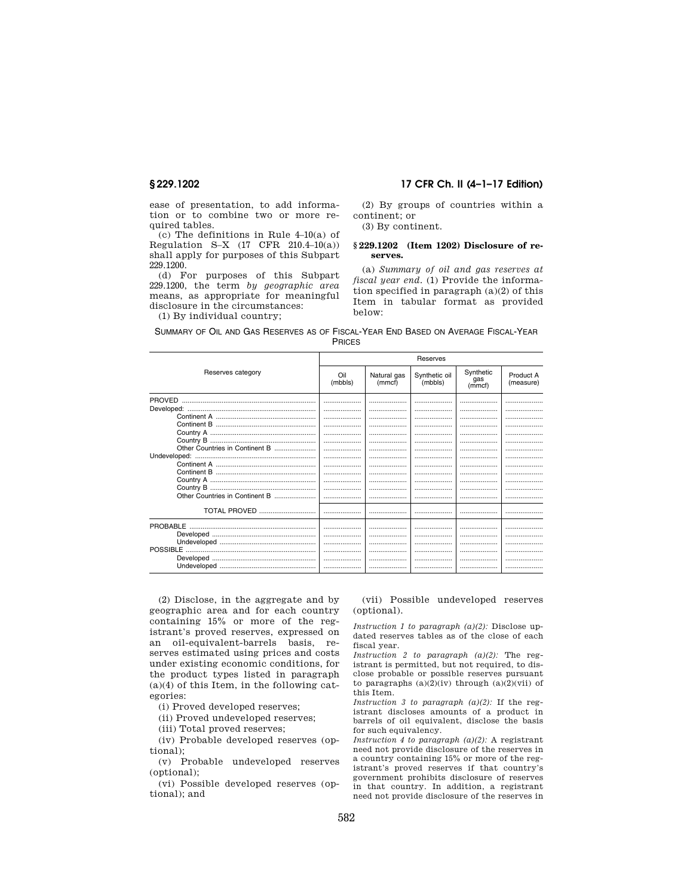ease of presentation, to add information or to combine two or more required tables.

(c) The definitions in Rule 4–10(a) of Regulation S–X  $(17$  CFR  $210.4–10(a))$ shall apply for purposes of this Subpart 229.1200.

(d) For purposes of this Subpart 229.1200, the term *by geographic area*  means, as appropriate for meaningful disclosure in the circumstances:

(1) By individual country;

## **§ 229.1202 17 CFR Ch. II (4–1–17 Edition)**

(2) By groups of countries within a continent; or

(3) By continent.

## **§ 229.1202 (Item 1202) Disclosure of reserves.**

(a) *Summary of oil and gas reserves at fiscal year end.* (1) Provide the information specified in paragraph (a)(2) of this Item in tabular format as provided below:

|  |  |  | SUMMARY OF OIL AND GAS RESERVES AS OF FISCAL-YEAR END BASED ON AVERAGE FISCAL-YEAR |               |  |  |  |  |
|--|--|--|------------------------------------------------------------------------------------|---------------|--|--|--|--|
|  |  |  |                                                                                    | <b>PRICES</b> |  |  |  |  |

|                                |                |                       | Reserves                 |                            |                        |
|--------------------------------|----------------|-----------------------|--------------------------|----------------------------|------------------------|
| Reserves category              | Oil<br>(mbbls) | Natural gas<br>(mmcf) | Synthetic oil<br>(mbbls) | Synthetic<br>gas<br>(mmcf) | Product A<br>(measure) |
| <b>PROVED</b>                  | <br>           | <br>                  | .<br>                    | <br>                       |                        |
|                                |                |                       | .                        |                            |                        |
|                                | <br>           | <br>                  | <br>                     | <br>                       | <br>                   |
| Other Countries in Continent B | .<br>          | <br>                  | .<br>                    | <br>                       | <br>                   |
|                                | <br>           | <br>                  | <br>.                    | <br>                       | <br>.                  |
|                                | <br>           | <br>                  | <br>                     | <br>                       | <br>                   |
| Other Countries in Continent B | .<br>          |                       | .                        |                            |                        |
|                                |                | .                     | .                        |                            |                        |
| <b>TOTAL PROVED</b>            |                |                       |                          |                            |                        |
| PROBABLE                       |                | <br>                  | <br>                     | <br>                       | .<br>                  |
|                                | <br>           | <br>                  | <br>.                    | <br>                       | <br>                   |
|                                |                | .                     | .                        | .                          |                        |
|                                |                |                       |                          |                            |                        |

(2) Disclose, in the aggregate and by geographic area and for each country containing 15% or more of the registrant's proved reserves, expressed on an oil-equivalent-barrels basis, reserves estimated using prices and costs under existing economic conditions, for the product types listed in paragraph (a)(4) of this Item, in the following categories:

(i) Proved developed reserves;

(ii) Proved undeveloped reserves;

(iii) Total proved reserves;

(iv) Probable developed reserves (optional);

(v) Probable undeveloped reserves (optional);

(vi) Possible developed reserves (optional); and

(vii) Possible undeveloped reserves (optional).

*Instruction 1 to paragraph (a)(2):* Disclose updated reserves tables as of the close of each fiscal year.

*Instruction 2 to paragraph (a)(2):* The registrant is permitted, but not required, to disclose probable or possible reserves pursuant to paragraphs  $(a)(2)(iv)$  through  $(a)(2)(vi)$  of this Item.

*Instruction 3 to paragraph (a)(2):* If the registrant discloses amounts of a product in barrels of oil equivalent, disclose the basis for such equivalency.

*Instruction 4 to paragraph (a)(2):* A registrant need not provide disclosure of the reserves in a country containing 15% or more of the registrant's proved reserves if that country's government prohibits disclosure of reserves in that country. In addition, a registrant need not provide disclosure of the reserves in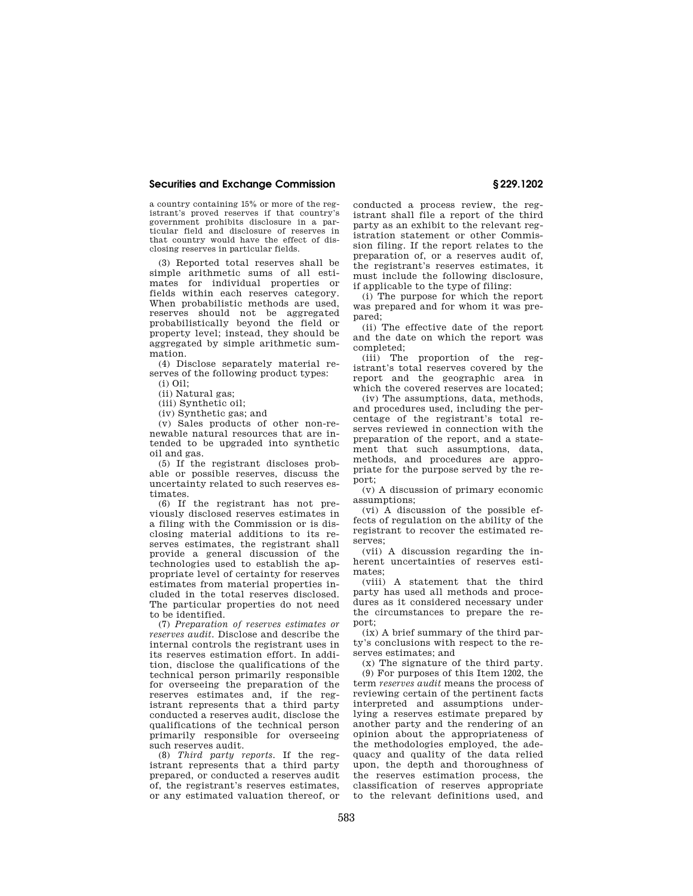## **Securities and Exchange Commission § 229.1202**

a country containing 15% or more of the registrant's proved reserves if that country's government prohibits disclosure in a particular field and disclosure of reserves in that country would have the effect of disclosing reserves in particular fields.

(3) Reported total reserves shall be simple arithmetic sums of all estimates for individual properties or fields within each reserves category. When probabilistic methods are used, reserves should not be aggregated probabilistically beyond the field or property level; instead, they should be aggregated by simple arithmetic summation.

(4) Disclose separately material reserves of the following product types: (i) Oil;

(ii) Natural gas;

(iii) Synthetic oil;

(iv) Synthetic gas; and

(v) Sales products of other non-renewable natural resources that are intended to be upgraded into synthetic oil and gas.

(5) If the registrant discloses probable or possible reserves, discuss the uncertainty related to such reserves estimates.

(6) If the registrant has not previously disclosed reserves estimates in a filing with the Commission or is disclosing material additions to its reserves estimates, the registrant shall provide a general discussion of the technologies used to establish the appropriate level of certainty for reserves estimates from material properties included in the total reserves disclosed. The particular properties do not need to be identified.

(7) *Preparation of reserves estimates or reserves audit.* Disclose and describe the internal controls the registrant uses in its reserves estimation effort. In addition, disclose the qualifications of the technical person primarily responsible for overseeing the preparation of the reserves estimates and, if the registrant represents that a third party conducted a reserves audit, disclose the qualifications of the technical person primarily responsible for overseeing such reserves audit.

(8) *Third party reports.* If the registrant represents that a third party prepared, or conducted a reserves audit of, the registrant's reserves estimates, or any estimated valuation thereof, or conducted a process review, the registrant shall file a report of the third party as an exhibit to the relevant registration statement or other Commission filing. If the report relates to the preparation of, or a reserves audit of, the registrant's reserves estimates, it must include the following disclosure, if applicable to the type of filing:

(i) The purpose for which the report was prepared and for whom it was prepared;

(ii) The effective date of the report and the date on which the report was completed;

(iii) The proportion of the registrant's total reserves covered by the report and the geographic area in which the covered reserves are located;

(iv) The assumptions, data, methods, and procedures used, including the percentage of the registrant's total reserves reviewed in connection with the preparation of the report, and a statement that such assumptions, data, methods, and procedures are appropriate for the purpose served by the report;

(v) A discussion of primary economic assumptions;

(vi) A discussion of the possible effects of regulation on the ability of the registrant to recover the estimated reserves;

(vii) A discussion regarding the inherent uncertainties of reserves estimates;

(viii) A statement that the third party has used all methods and procedures as it considered necessary under the circumstances to prepare the report;

(ix) A brief summary of the third party's conclusions with respect to the reserves estimates; and

(x) The signature of the third party. (9) For purposes of this Item 1202, the term *reserves audit* means the process of reviewing certain of the pertinent facts interpreted and assumptions underlying a reserves estimate prepared by another party and the rendering of an opinion about the appropriateness of the methodologies employed, the adequacy and quality of the data relied upon, the depth and thoroughness of the reserves estimation process, the classification of reserves appropriate to the relevant definitions used, and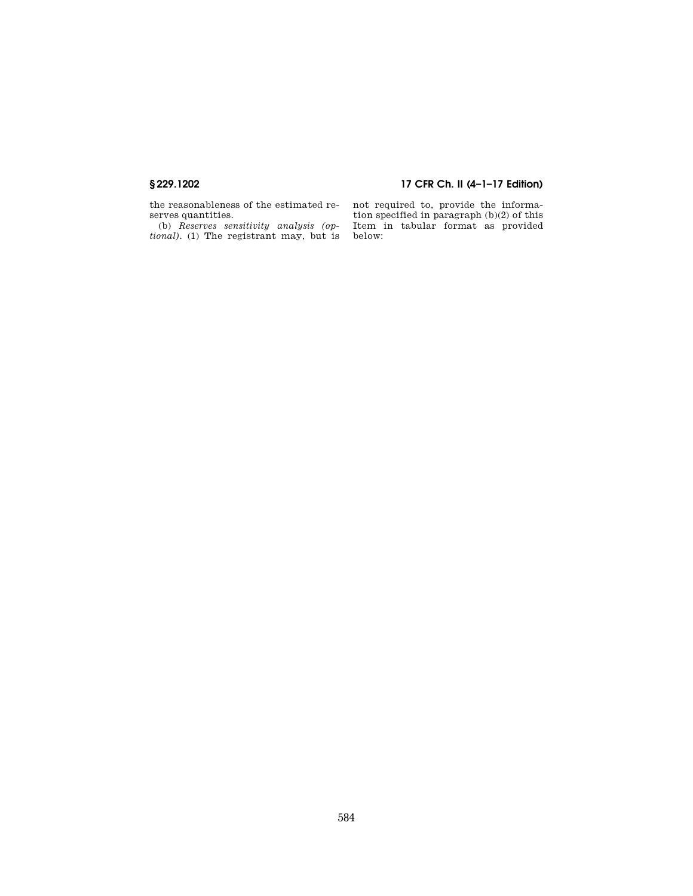# **§ 229.1202 17 CFR Ch. II (4–1–17 Edition)**

the reasonableness of the estimated reserves quantities.

(b) *Reserves sensitivity analysis (optional).* (1) The registrant may, but is not required to, provide the information specified in paragraph (b)(2) of this Item in tabular format as provided below: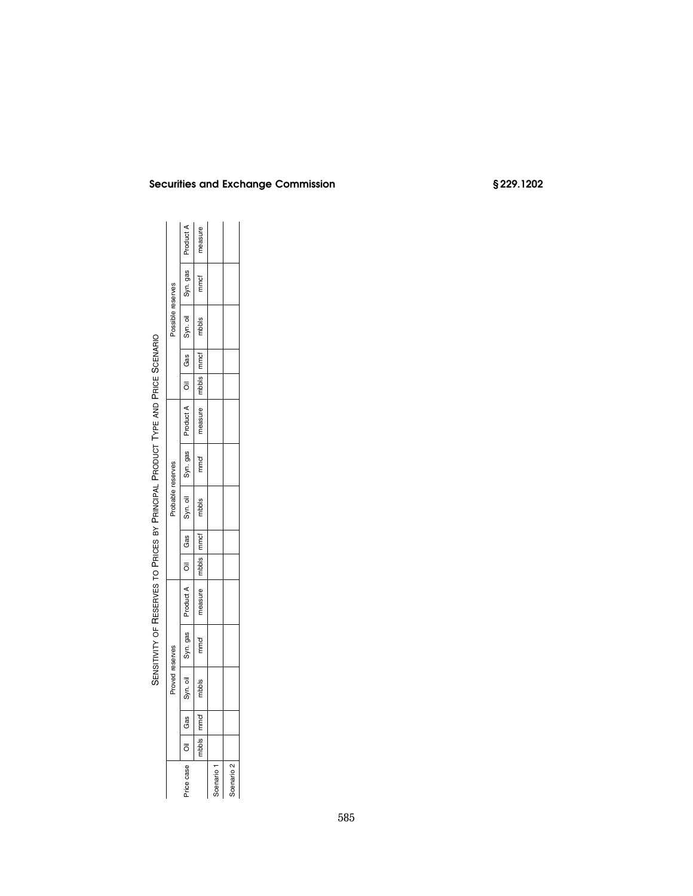|                       |              | Proved reserves |          |           |         |       | Probable reserves |          |                                                |              | Possible reserves |          |           |
|-----------------------|--------------|-----------------|----------|-----------|---------|-------|-------------------|----------|------------------------------------------------|--------------|-------------------|----------|-----------|
| Price case            | Oil Gas      | Syn. oil        | Syn. gas | Product A | Oil Gas |       | Syn. oil          | Syn. gas | — io i κδ — sed — iO — τυπουδ<br>— ποιοποιημεί |              |                   | Syn. gas | Product A |
|                       | nbbls   mmcf | mbbls           | mmcf     | measure   | mbbls   | Immet | mbbls             | mmcf     | neasure                                        | mbbls   mmcf | mbbls             | mmcf     | neasure   |
| Scenario              |              |                 |          |           |         |       |                   |          |                                                |              |                   |          |           |
| Scenario <sub>2</sub> |              |                 |          |           |         |       |                   |          |                                                |              |                   |          |           |
|                       |              |                 |          |           |         |       |                   |          |                                                |              |                   |          |           |

# SENSITIVITY OF RESERVES TO PRICES BY PRINCIPAL PRODUCT TYPE AND PRICE SCENARIO SCENARIO TYPE AND PRICE RESERVES TO PRICES BY PRINCIPAL PRODUCT SENSITIVITY OF

# **Securities and Exchange Commission § 229.1202**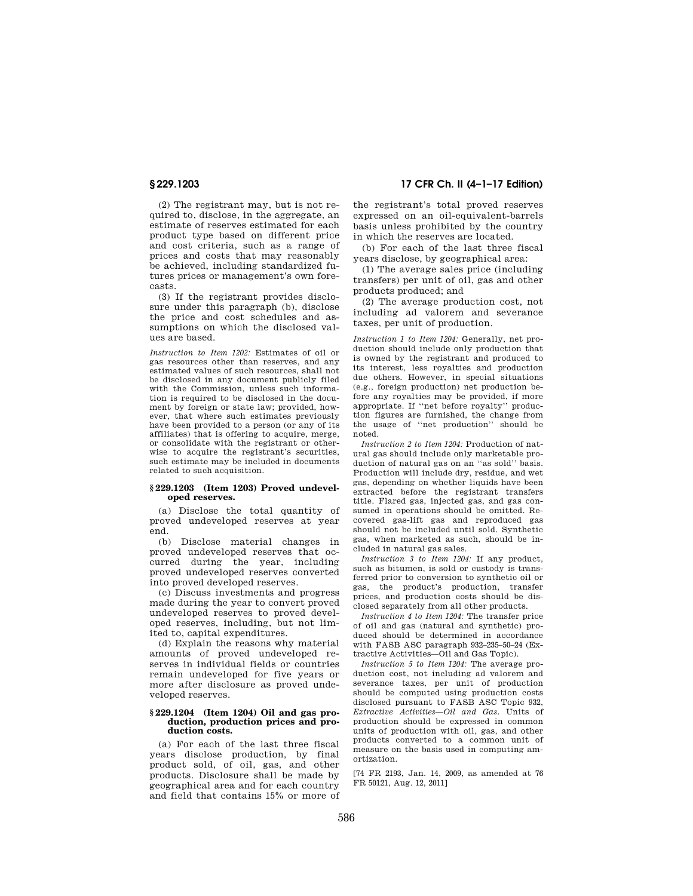(2) The registrant may, but is not required to, disclose, in the aggregate, an estimate of reserves estimated for each product type based on different price and cost criteria, such as a range of prices and costs that may reasonably be achieved, including standardized futures prices or management's own forecasts.

(3) If the registrant provides disclosure under this paragraph (b), disclose the price and cost schedules and assumptions on which the disclosed values are based.

*Instruction to Item 1202:* Estimates of oil or gas resources other than reserves, and any estimated values of such resources, shall not be disclosed in any document publicly filed with the Commission, unless such information is required to be disclosed in the document by foreign or state law; provided, however, that where such estimates previously have been provided to a person (or any of its affiliates) that is offering to acquire, merge, or consolidate with the registrant or otherwise to acquire the registrant's securities, such estimate may be included in documents related to such acquisition.

## **§ 229.1203 (Item 1203) Proved undeveloped reserves.**

(a) Disclose the total quantity of proved undeveloped reserves at year end.

(b) Disclose material changes in proved undeveloped reserves that occurred during the year, including proved undeveloped reserves converted into proved developed reserves.

(c) Discuss investments and progress made during the year to convert proved undeveloped reserves to proved developed reserves, including, but not limited to, capital expenditures.

(d) Explain the reasons why material amounts of proved undeveloped reserves in individual fields or countries remain undeveloped for five years or more after disclosure as proved undeveloped reserves.

### **§ 229.1204 (Item 1204) Oil and gas production, production prices and production costs.**

(a) For each of the last three fiscal years disclose production, by final product sold, of oil, gas, and other products. Disclosure shall be made by geographical area and for each country and field that contains 15% or more of

**§ 229.1203 17 CFR Ch. II (4–1–17 Edition)** 

the registrant's total proved reserves expressed on an oil-equivalent-barrels basis unless prohibited by the country in which the reserves are located.

(b) For each of the last three fiscal years disclose, by geographical area:

(1) The average sales price (including transfers) per unit of oil, gas and other products produced; and

(2) The average production cost, not including ad valorem and severance taxes, per unit of production.

*Instruction 1 to Item 1204:* Generally, net production should include only production that is owned by the registrant and produced to its interest, less royalties and production due others. However, in special situations (e.g., foreign production) net production before any royalties may be provided, if more appropriate. If ''net before royalty'' production figures are furnished, the change from the usage of ''net production'' should be noted.

*Instruction 2 to Item 1204:* Production of natural gas should include only marketable production of natural gas on an ''as sold'' basis. Production will include dry, residue, and wet gas, depending on whether liquids have been extracted before the registrant transfers title. Flared gas, injected gas, and gas consumed in operations should be omitted. Recovered gas-lift gas and reproduced gas should not be included until sold. Synthetic gas, when marketed as such, should be included in natural gas sales.

*Instruction 3 to Item 1204:* If any product, such as bitumen, is sold or custody is transferred prior to conversion to synthetic oil or gas, the product's production, transfer prices, and production costs should be disclosed separately from all other products.

*Instruction 4 to Item 1204:* The transfer price of oil and gas (natural and synthetic) produced should be determined in accordance with FASB ASC paragraph 932–235–50–24 (Extractive Activities—Oil and Gas Topic).

*Instruction 5 to Item 1204:* The average production cost, not including ad valorem and severance taxes, per unit of production should be computed using production costs disclosed pursuant to FASB ASC Topic 932, *Extractive Activities—Oil and Gas.* Units of production should be expressed in common units of production with oil, gas, and other products converted to a common unit of measure on the basis used in computing amortization.

[74 FR 2193, Jan. 14, 2009, as amended at 76 FR 50121, Aug. 12, 2011]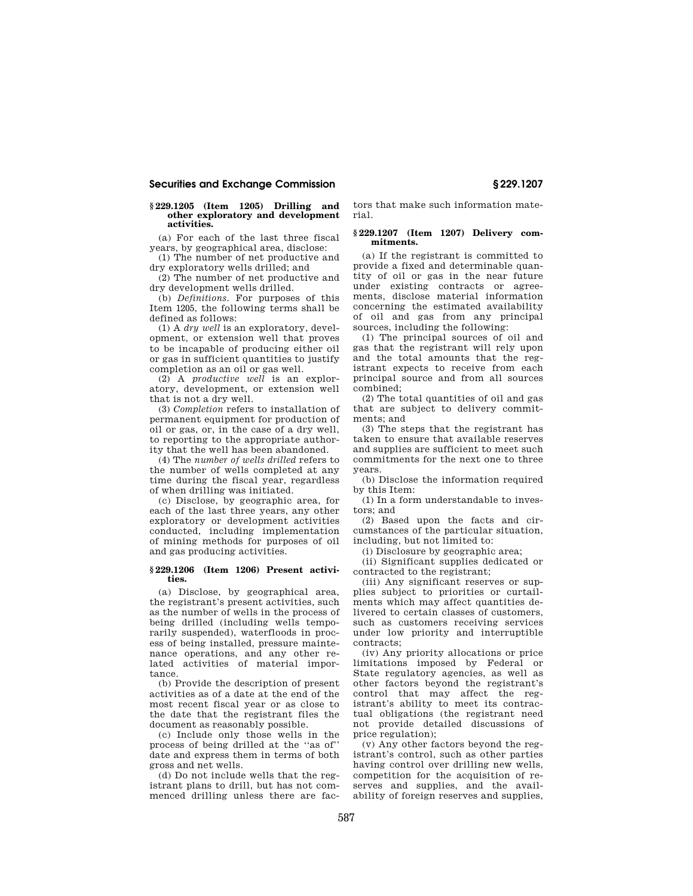## **Securities and Exchange Commission § 229.1207**

## **§ 229.1205 (Item 1205) Drilling and other exploratory and development activities.**

(a) For each of the last three fiscal years, by geographical area, disclose:

(1) The number of net productive and dry exploratory wells drilled; and

(2) The number of net productive and dry development wells drilled.

(b) *Definitions.* For purposes of this Item 1205, the following terms shall be defined as follows:

(1) A *dry well* is an exploratory, development, or extension well that proves to be incapable of producing either oil or gas in sufficient quantities to justify completion as an oil or gas well.

(2) A *productive well* is an exploratory, development, or extension well that is not a dry well.

(3) *Completion* refers to installation of permanent equipment for production of oil or gas, or, in the case of a dry well, to reporting to the appropriate authority that the well has been abandoned.

(4) The *number of wells drilled* refers to the number of wells completed at any time during the fiscal year, regardless of when drilling was initiated.

(c) Disclose, by geographic area, for each of the last three years, any other exploratory or development activities conducted, including implementation of mining methods for purposes of oil and gas producing activities.

## **§ 229.1206 (Item 1206) Present activities.**

(a) Disclose, by geographical area, the registrant's present activities, such as the number of wells in the process of being drilled (including wells temporarily suspended), waterfloods in process of being installed, pressure maintenance operations, and any other related activities of material importance.

(b) Provide the description of present activities as of a date at the end of the most recent fiscal year or as close to the date that the registrant files the document as reasonably possible.

(c) Include only those wells in the process of being drilled at the ''as of'' date and express them in terms of both gross and net wells.

(d) Do not include wells that the registrant plans to drill, but has not commenced drilling unless there are fac-

tors that make such information material.

## **§ 229.1207 (Item 1207) Delivery commitments.**

(a) If the registrant is committed to provide a fixed and determinable quantity of oil or gas in the near future under existing contracts or agreements, disclose material information concerning the estimated availability of oil and gas from any principal sources, including the following:

(1) The principal sources of oil and gas that the registrant will rely upon and the total amounts that the registrant expects to receive from each principal source and from all sources combined;

(2) The total quantities of oil and gas that are subject to delivery commitments; and

(3) The steps that the registrant has taken to ensure that available reserves and supplies are sufficient to meet such commitments for the next one to three years.

(b) Disclose the information required by this Item:

(1) In a form understandable to investors; and

(2) Based upon the facts and circumstances of the particular situation, including, but not limited to:

(i) Disclosure by geographic area;

(ii) Significant supplies dedicated or contracted to the registrant;

(iii) Any significant reserves or supplies subject to priorities or curtailments which may affect quantities delivered to certain classes of customers, such as customers receiving services under low priority and interruptible contracts;

(iv) Any priority allocations or price limitations imposed by Federal or State regulatory agencies, as well as other factors beyond the registrant's control that may affect the registrant's ability to meet its contractual obligations (the registrant need not provide detailed discussions of price regulation);

(v) Any other factors beyond the registrant's control, such as other parties having control over drilling new wells, competition for the acquisition of reserves and supplies, and the availability of foreign reserves and supplies,